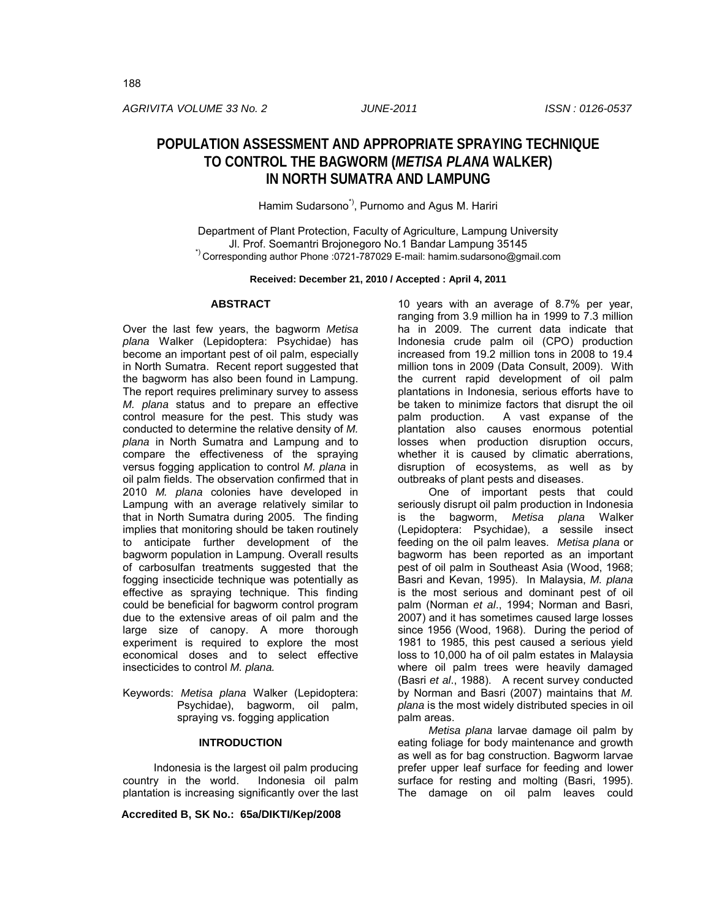*AGRIVITA VOLUME 33 No. 2 JUNE-2011 ISSN : 0126-0537*

# **POPULATION ASSESSMENT AND APPROPRIATE SPRAYING TECHNIQUE TO CONTROL THE BAGWORM (***METISA PLANA* **WALKER) IN NORTH SUMATRA AND LAMPUNG**

## Hamim Sudarsono<sup>\*)</sup>, Purnomo and Agus M. Hariri

Department of Plant Protection, Faculty of Agriculture, Lampung University<br>J. Prof. Soemantri Brojonegoro No.1 Bandar Lampung 35145 \*)<br>Corresponding author Phone :0721-787029 E-mail: hamim.sudarsono@gmail.com

**Received: December 21, 2010 / Accepted : April 4, 2011**

## **ABSTRACT**

Over the last few years, the bagworm *Metisa plana* Walker (Lepidoptera: Psychidae) has become an important pest of oil palm, especially in North Sumatra. Recent report suggested that the bagworm has also been found in Lampung. The report requires preliminary survey to assess *M. plana* status and to prepare an effective control measure for the pest. This study was conducted to determine the relative density of *M. plana* in North Sumatra and Lampung and to compare the effectiveness of the spraying versus fogging application to control *M. plana* in oil palm fields. The observation confirmed that in 2010 *M. plana* colonies have developed in Lampung with an average relatively similar to that in North Sumatra during 2005. The finding implies that monitoring should be taken routinely to anticipate further development of the bagworm population in Lampung. Overall results of carbosulfan treatments suggested that the fogging insecticide technique was potentially as effective as spraying technique. This finding could be beneficial for bagworm control program due to the extensive areas of oil palm and the large size of canopy. A more thorough experiment is required to explore the most economical doses and to select effective insecticides to control *M. plana.* 

Keywords: *Metisa plana* Walker (Lepidoptera: Psychidae), bagworm, oil palm, spraying vs. fogging application

## **INTRODUCTION**

Indonesia is the largest oil palm producing country in the world. Indonesia oil palm plantation is increasing significantly over the last

**Accredited B, SK No.: 65a/DIKTI/Kep/2008**

10 years with an average of 8.7% per year, ranging from 3.9 million ha in 1999 to 7.3 million ha in 2009. The current data indicate that Indonesia crude palm oil (CPO) production increased from 19.2 million tons in 2008 to 19.4 million tons in 2009 (Data Consult, 2009). With the current rapid development of oil palm plantations in Indonesia, serious efforts have to be taken to minimize factors that disrupt the oil palm production. A vast expanse of the plantation also causes enormous potential losses when production disruption occurs, whether it is caused by climatic aberrations, disruption of ecosystems, as well as by outbreaks of plant pests and diseases.

One of important pests that could seriously disrupt oil palm production in Indonesia is the bagworm, *Metisa plana* Walker (Lepidoptera: Psychidae), a sessile insect feeding on the oil palm leaves. *Metisa plana* or bagworm has been reported as an important pest of oil palm in Southeast Asia (Wood, 1968; Basri and Kevan, 1995). In Malaysia, *M. plana*  is the most serious and dominant pest of oil palm (Norman *et al*., 1994; Norman and Basri, 2007) and it has sometimes caused large losses since 1956 (Wood, 1968). During the period of 1981 to 1985, this pest caused a serious yield loss to 10,000 ha of oil palm estates in Malaysia where oil palm trees were heavily damaged (Basri *et al*., 1988). A recent survey conducted by Norman and Basri (2007) maintains that *M. plana* is the most widely distributed species in oil palm areas.

*Metisa plana* larvae damage oil palm by eating foliage for body maintenance and growth as well as for bag construction. Bagworm larvae prefer upper leaf surface for feeding and lower surface for resting and molting (Basri, 1995). The damage on oil palm leaves could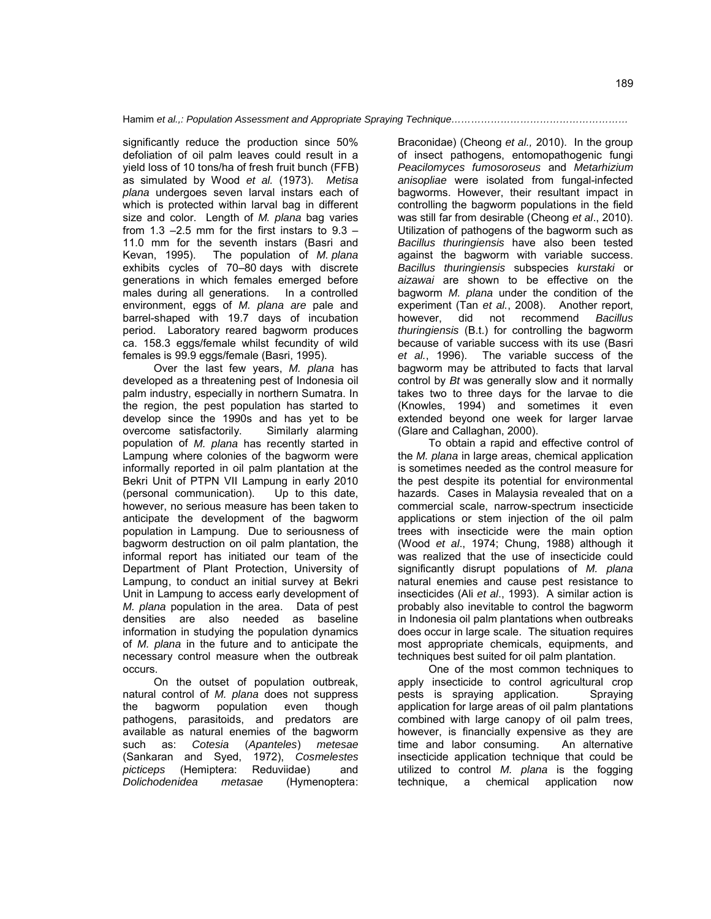significantly reduce the production since 50% defoliation of oil palm leaves could result in a yield loss of 10 tons/ha of fresh fruit bunch (FFB) as simulated by Wood *et al.* (1973). *Metisa plana* undergoes seven larval instars each of which is protected within larval bag in different size and color. Length of *M. plana* bag varies from 1.3  $-2.5$  mm for the first instars to  $9.3 -$ 11.0 mm for the seventh instars (Basri and Kevan, 1995). The population of *M. plana* exhibits cycles of 70–80 days with discrete generations in which females emerged before males during all generations. In a controlled environment, eggs of *M. plana are* pale and barrel-shaped with 19.7 days of incubation period. Laboratory reared bagworm produces ca. 158.3 eggs/female whilst fecundity of wild females is 99.9 eggs/female (Basri, 1995).

Over the last few years, *M. plana* has developed as a threatening pest of Indonesia oil palm industry, especially in northern Sumatra. In the region, the pest population has started to develop since the 1990s and has yet to be overcome satisfactorily. Similarly alarming population of *M. plana* has recently started in Lampung where colonies of the bagworm were informally reported in oil palm plantation at the Bekri Unit of PTPN VII Lampung in early 2010 (personal communication). Up to this date, however, no serious measure has been taken to anticipate the development of the bagworm population in Lampung. Due to seriousness of bagworm destruction on oil palm plantation, the informal report has initiated our team of the Department of Plant Protection, University of Lampung, to conduct an initial survey at Bekri Unit in Lampung to access early development of *M. plana* population in the area. Data of pest densities are also needed as baseline information in studying the population dynamics of *M. plana* in the future and to anticipate the necessary control measure when the outbreak occurs.

On the outset of population outbreak, natural control of *M. plana* does not suppress the bagworm population even though pathogens, parasitoids, and predators are available as natural enemies of the bagworm such as: *Cotesia* (*Apanteles*) *metesae* (Sankaran and Syed, 1972), *Cosmelestes picticeps* (Hemiptera: Reduviidae) and *Dolichodenidea metasae* (Hymenoptera:

Braconidae) (Cheong *et al.,* 2010). In the group of insect pathogens, entomopathogenic fungi *Peacilomyces fumosoroseus* and *Metarhizium anisopliae* were isolated from fungal-infected bagworms. However, their resultant impact in controlling the bagworm populations in the field was still far from desirable (Cheong *et al*., 2010). Utilization of pathogens of the bagworm such as *Bacillus thuringiensis* have also been tested against the bagworm with variable success. *Bacillus thuringiensis* subspecies *kurstaki* or *aizawai* are shown to be effective on the bagworm *M. plana* under the condition of the experiment (Tan *et al.*, 2008). Another report, however, did not recommend *Bacillus thuringiensis* (B.t.) for controlling the bagworm because of variable success with its use (Basri *et al.*, 1996). The variable success of the bagworm may be attributed to facts that larval control by *Bt* was generally slow and it normally takes two to three days for the larvae to die (Knowles, 1994) and sometimes it even extended beyond one week for larger larvae (Glare and Callaghan, 2000).

To obtain a rapid and effective control of the *M. plana* in large areas, chemical application is sometimes needed as the control measure for the pest despite its potential for environmental hazards. Cases in Malaysia revealed that on a commercial scale, narrow-spectrum insecticide applications or stem injection of the oil palm trees with insecticide were the main option (Wood *et al*., 1974; Chung, 1988) although it was realized that the use of insecticide could significantly disrupt populations of *M. plana* natural enemies and cause pest resistance to insecticides (Ali *et al*., 1993). A similar action is probably also inevitable to control the bagworm in Indonesia oil palm plantations when outbreaks does occur in large scale. The situation requires most appropriate chemicals, equipments, and techniques best suited for oil palm plantation.

One of the most common techniques to apply insecticide to control agricultural crop pests is spraying application. Spraying application for large areas of oil palm plantations combined with large canopy of oil palm trees, however, is financially expensive as they are time and labor consuming. An alternative insecticide application technique that could be utilized to control *M. plana* is the fogging technique, a chemical application now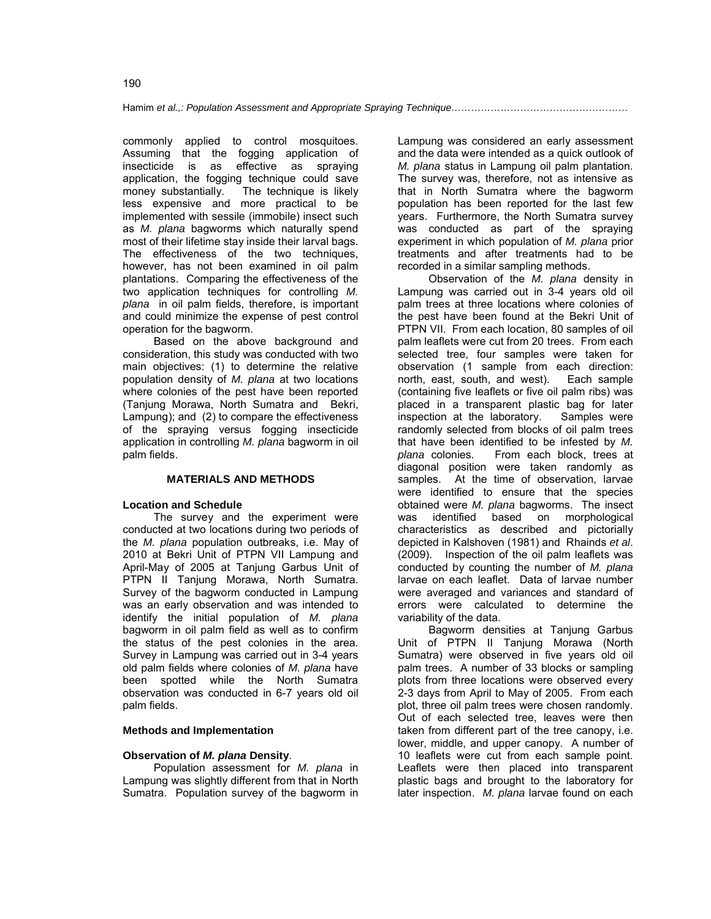commonly applied to control mosquitoes. Assuming that the fogging application of insecticide is as effective as spraying application, the fogging technique could save<br>money substantially. The technique is likely The technique is likely. less expensive and more practical to be implemented with sessile (immobile) insect such as *M. plana* bagworms which naturally spend most of their lifetime stay inside their larval bags. The effectiveness of the two techniques, however, has not been examined in oil palm plantations. Comparing the effectiveness of the two application techniques for controlling *M. plana* in oil palm fields, therefore, is important and could minimize the expense of pest control operation for the bagworm.

Based on the above background and consideration, this study was conducted with two main objectives: (1) to determine the relative population density of *M. plana* at two locations where colonies of the pest have been reported (Tanjung Morawa, North Sumatra and Bekri, Lampung); and (2) to compare the effectiveness of the spraying versus fogging insecticide application in controlling *M. plana* bagworm in oil palm fields.

### **MATERIALS AND METHODS**

#### **Location and Schedule**

The survey and the experiment were conducted at two locations during two periods of the *M. plana* population outbreaks, i.e. May of 2010 at Bekri Unit of PTPN VII Lampung and April-May of 2005 at Tanjung Garbus Unit of PTPN II Tanjung Morawa, North Sumatra. Survey of the bagworm conducted in Lampung was an early observation and was intended to identify the initial population of *M. plana* bagworm in oil palm field as well as to confirm the status of the pest colonies in the area. Survey in Lampung was carried out in 3-4 years old palm fields where colonies of *M. plana* have been spotted while the North Sumatra observation was conducted in 6-7 years old oil palm fields.

#### **Methods and Implementation**

#### **Observation of** *M. plana* **Density**.

Population assessment for *M. plana* in Lampung was slightly different from that in North Sumatra. Population survey of the bagworm in

Lampung was considered an early assessment and the data were intended as a quick outlook of *M. plana* status in Lampung oil palm plantation. The survey was, therefore, not as intensive as that in North Sumatra where the bagworm population has been reported for the last few years. Furthermore, the North Sumatra survey was conducted as part of the spraying experiment in which population of *M. plana* prior treatments and after treatments had to be recorded in a similar sampling methods.

Observation of the *M. plana* density in Lampung was carried out in 3-4 years old oil palm trees at three locations where colonies of the pest have been found at the Bekri Unit of PTPN VII. From each location, 80 samples of oil palm leaflets were cut from 20 trees. From each selected tree, four samples were taken for observation (1 sample from each direction: north, east, south, and west). Each sample (containing five leaflets or five oil palm ribs) was placed in a transparent plastic bag for later inspection at the laboratory. Samples were randomly selected from blocks of oil palm trees that have been identified to be infested by *M. plana* colonies. From each block, trees at diagonal position were taken randomly as samples. At the time of observation, larvae were identified to ensure that the species obtained were *M. plana* bagworms. The insect was identified based on morphological characteristics as described and pictorially depicted in Kalshoven (1981) and Rhainds *et al*. (2009). Inspection of the oil palm leaflets was conducted by counting the number of *M. plana*  larvae on each leaflet. Data of larvae number were averaged and variances and standard of errors were calculated to determine the variability of the data.

Bagworm densities at Tanjung Garbus Unit of PTPN II Tanjung Morawa (North Sumatra) were observed in five years old oil palm trees. A number of 33 blocks or sampling plots from three locations were observed every 2-3 days from April to May of 2005. From each plot, three oil palm trees were chosen randomly. Out of each selected tree, leaves were then taken from different part of the tree canopy, i.e. lower, middle, and upper canopy. A number of 10 leaflets were cut from each sample point. Leaflets were then placed into transparent plastic bags and brought to the laboratory for later inspection. *M. plana* larvae found on each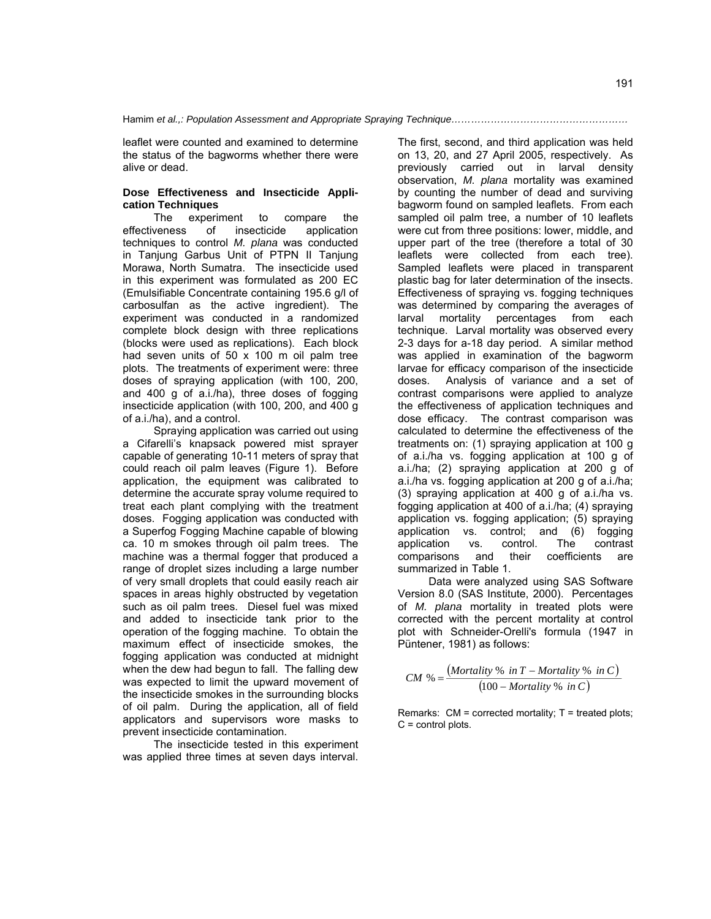leaflet were counted and examined to determine the status of the bagworms whether there were alive or dead.

### **Dose Effectiveness and Insecticide Application Techniques**

The experiment to compare the effectiveness of insecticide application techniques to control *M. plana* was conducted in Tanjung Garbus Unit of PTPN II Tanjung Morawa, North Sumatra. The insecticide used in this experiment was formulated as 200 EC (Emulsifiable Concentrate containing 195.6 g/l of carbosulfan as the active ingredient). The experiment was conducted in a randomized complete block design with three replications (blocks were used as replications). Each block had seven units of 50 x 100 m oil palm tree plots. The treatments of experiment were: three doses of spraying application (with 100, 200, and 400 g of a.i./ha), three doses of fogging insecticide application (with 100, 200, and 400 g of a.i./ha), and a control.

Spraying application was carried out using a Cifarelli's knapsack powered mist sprayer capable of generating 10-11 meters of spray that could reach oil palm leaves (Figure 1). Before application, the equipment was calibrated to determine the accurate spray volume required to treat each plant complying with the treatment doses. Fogging application was conducted with a Superfog Fogging Machine capable of blowing ca. 10 m smokes through oil palm trees. The machine was a thermal fogger that produced a range of droplet sizes including a large number of very small droplets that could easily reach air spaces in areas highly obstructed by vegetation such as oil palm trees. Diesel fuel was mixed and added to insecticide tank prior to the operation of the fogging machine. To obtain the maximum effect of insecticide smokes, the fogging application was conducted at midnight when the dew had begun to fall. The falling dew was expected to limit the upward movement of the insecticide smokes in the surrounding blocks of oil palm. During the application, all of field applicators and supervisors wore masks to prevent insecticide contamination.

The insecticide tested in this experiment was applied three times at seven days interval.

The first, second, and third application was held on 13, 20, and 27 April 2005, respectively. As previously carried out in larval density observation, *M. plana* mortality was examined by counting the number of dead and surviving bagworm found on sampled leaflets. From each sampled oil palm tree, a number of 10 leaflets were cut from three positions: lower, middle, and upper part of the tree (therefore a total of 30 leaflets were collected from each tree). Sampled leaflets were placed in transparent plastic bag for later determination of the insects. Effectiveness of spraying vs. fogging techniques was determined by comparing the averages of larval mortality percentages from each technique. Larval mortality was observed every 2-3 days for a-18 day period. A similar method was applied in examination of the bagworm larvae for efficacy comparison of the insecticide doses. Analysis of variance and a set of contrast comparisons were applied to analyze the effectiveness of application techniques and dose efficacy. The contrast comparison was calculated to determine the effectiveness of the treatments on: (1) spraying application at 100 g of a.i./ha vs. fogging application at 100 g of a.i./ha; (2) spraying application at 200 g of a.i./ha vs. fogging application at 200 g of a.i./ha; (3) spraying application at 400 g of a.i./ha vs. fogging application at 400 of a.i./ha; (4) spraying application vs. fogging application; (5) spraying application vs. control; and (6) fogging application vs. control. The contrast comparisons and their coefficients are summarized in Table 1.

Data were analyzed using SAS Software Version 8.0 (SAS Institute, 2000). Percentages of *M. plana* mortality in treated plots were corrected with the percent mortality at control plot with Schneider-Orelli's formula (1947 in Püntener, 1981) as follows:

$$
CM % = \frac{(Mortality % in T - Mortality % in C)}{(100 - Mortality % in C)}
$$

Remarks:  $CM =$  corrected mortality;  $T =$  treated plots;  $C =$  control plots.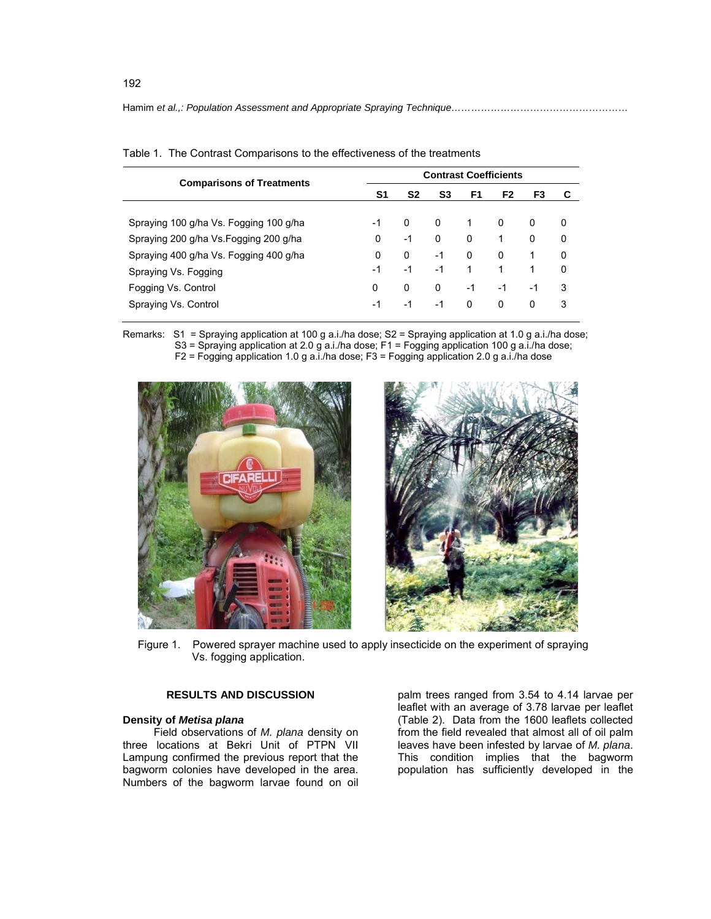| <b>Comparisons of Treatments</b>       | <b>Contrast Coefficients</b> |    |                |          |      |    |   |
|----------------------------------------|------------------------------|----|----------------|----------|------|----|---|
|                                        | S1                           | S2 | S <sub>3</sub> | F1       | F2   | F3 | С |
| Spraying 100 g/ha Vs. Fogging 100 g/ha | -1                           | 0  | 0              | 1        | 0    | 0  | 0 |
| Spraying 200 g/ha Vs Fogging 200 g/ha  | 0                            | -1 | 0              | 0        | 1    | 0  | 0 |
| Spraying 400 g/ha Vs. Fogging 400 g/ha | 0                            | 0  | $-1$           | $\Omega$ | 0    |    | 0 |
| Spraying Vs. Fogging                   | -1                           | -1 | -1             | 1        | 1    | 1  | 0 |
| Fogging Vs. Control                    | 0                            | 0  | 0              | $-1$     | $-1$ | -1 | 3 |
| Spraying Vs. Control                   | -1                           | -1 | -1             | 0        | 0    | 0  | 3 |

|  | Table 1. The Contrast Comparisons to the effectiveness of the treatments |  |
|--|--------------------------------------------------------------------------|--|
|  |                                                                          |  |

Remarks: S1 = Spraying application at 100 g a.i./ha dose; S2 = Spraying application at 1.0 g a.i./ha dose; S3 = Spraying application at 2.0 g a.i./ha dose; F1 = Fogging application 100 g a.i./ha dose; F2 = Fogging application 1.0 g a.i./ha dose; F3 = Fogging application 2.0 g a.i./ha dose



Figure 1. Powered sprayer machine used to apply insecticide on the experiment of spraying Vs. fogging application.

## **RESULTS AND DISCUSSION**

## **Density of** *Metisa plana*

Field observations of *M. plana* density on three locations at Bekri Unit of PTPN VII Lampung confirmed the previous report that the bagworm colonies have developed in the area. Numbers of the bagworm larvae found on oil

palm trees ranged from 3.54 to 4.14 larvae per leaflet with an average of 3.78 larvae per leaflet (Table 2). Data from the 1600 leaflets collected from the field revealed that almost all of oil palm leaves have been infested by larvae of *M. plana*. This condition implies that the bagworm population has sufficiently developed in the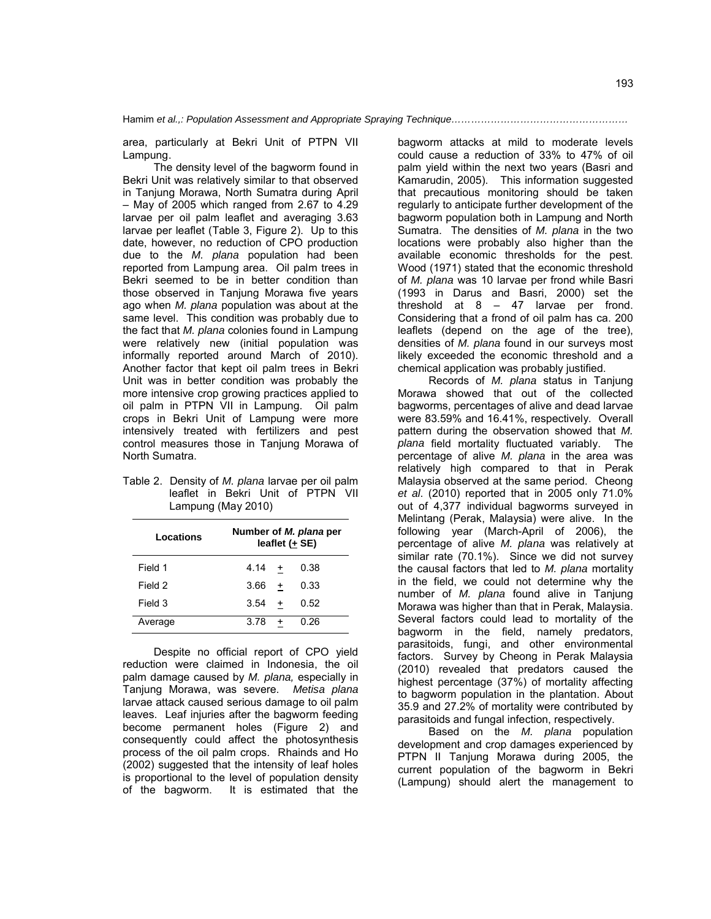area, particularly at Bekri Unit of PTPN VII Lampung.

The density level of the bagworm found in Bekri Unit was relatively similar to that observed in Tanjung Morawa, North Sumatra during April – May of 2005 which ranged from 2.67 to 4.29 larvae per oil palm leaflet and averaging 3.63 larvae per leaflet (Table 3, Figure 2). Up to this date, however, no reduction of CPO production due to the *M. plana* population had been reported from Lampung area. Oil palm trees in Bekri seemed to be in better condition than those observed in Tanjung Morawa five years ago when *M. plana* population was about at the same level. This condition was probably due to the fact that *M. plana* colonies found in Lampung were relatively new (initial population was informally reported around March of 2010). Another factor that kept oil palm trees in Bekri Unit was in better condition was probably the more intensive crop growing practices applied to oil palm in PTPN VII in Lampung. Oil palm crops in Bekri Unit of Lampung were more intensively treated with fertilizers and pest control measures those in Tanjung Morawa of North Sumatra.

Table 2. Density of *M. plana* larvae per oil palm leaflet in Bekri Unit of PTPN VII Lampung (May 2010)

| Locations | Number of <i>M. plana</i> per<br>leaflet (+ SE) |           |      |  |
|-----------|-------------------------------------------------|-----------|------|--|
| Field 1   | 4.14                                            | $\ddot{}$ | 0.38 |  |
| Field 2   | 3.66                                            | $\ddot{}$ | 0.33 |  |
| Field 3   | 3.54                                            | $\ddot{}$ | 0.52 |  |
| Average   | 3.78                                            | +         | 0.26 |  |

Despite no official report of CPO yield reduction were claimed in Indonesia, the oil palm damage caused by *M. plana,* especially in Tanjung Morawa, was severe. *Metisa plana*  larvae attack caused serious damage to oil palm leaves. Leaf injuries after the bagworm feeding become permanent holes (Figure 2) and consequently could affect the photosynthesis process of the oil palm crops. Rhainds and Ho (2002) suggested that the intensity of leaf holes is proportional to the level of population density of the bagworm. It is estimated that the

bagworm attacks at mild to moderate levels could cause a reduction of 33% to 47% of oil palm yield within the next two years (Basri and Kamarudin, 2005). This information suggested that precautious monitoring should be taken regularly to anticipate further development of the bagworm population both in Lampung and North Sumatra. The densities of *M. plana* in the two locations were probably also higher than the available economic thresholds for the pest. Wood (1971) stated that the economic threshold of *M. plana* was 10 larvae per frond while Basri (1993 in Darus and Basri, 2000) set the threshold at 8 – 47 larvae per frond. Considering that a frond of oil palm has ca. 200 leaflets (depend on the age of the tree), densities of *M. plana* found in our surveys most likely exceeded the economic threshold and a chemical application was probably justified.

Records of *M. plana* status in Tanjung Morawa showed that out of the collected bagworms, percentages of alive and dead larvae were 83.59% and 16.41%, respectively. Overall pattern during the observation showed that *M. plana* field mortality fluctuated variably. The percentage of alive *M. plana* in the area was relatively high compared to that in Perak Malaysia observed at the same period. Cheong *et al*. (2010) reported that in 2005 only 71.0% out of 4,377 individual bagworms surveyed in Melintang (Perak, Malaysia) were alive. In the following year (March-April of 2006), the percentage of alive *M. plana* was relatively at similar rate (70.1%). Since we did not survey the causal factors that led to *M. plana* mortality in the field, we could not determine why the number of *M. plana* found alive in Tanjung Morawa was higher than that in Perak, Malaysia. Several factors could lead to mortality of the bagworm in the field, namely predators, parasitoids, fungi, and other environmental factors. Survey by Cheong in Perak Malaysia (2010) revealed that predators caused the highest percentage (37%) of mortality affecting to bagworm population in the plantation. About 35.9 and 27.2% of mortality were contributed by parasitoids and fungal infection, respectively.

Based on the *M. plana* population development and crop damages experienced by PTPN II Tanjung Morawa during 2005, the current population of the bagworm in Bekri (Lampung) should alert the management to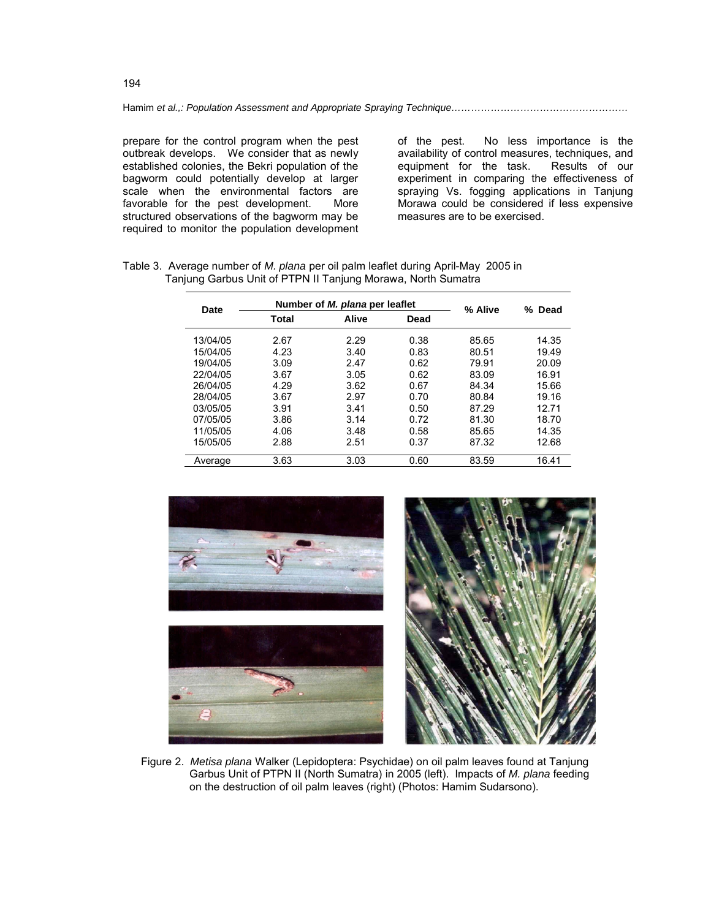prepare for the control program when the pest outbreak develops. We consider that as newly established colonies, the Bekri population of the bagworm could potentially develop at larger scale when the environmental factors are<br>favorable for the pest development. More favorable for the pest development. structured observations of the bagworm may be required to monitor the population development of the pest. No less importance is the availability of control measures, techniques, and<br>equipment for the task. Results of our equipment for the task. experiment in comparing the effectiveness of spraying Vs. fogging applications in Tanjung Morawa could be considered if less expensive measures are to be exercised.

| Date     |                        | Number of <i>M. plana</i> per leaflet | % Alive | % Dead |       |
|----------|------------------------|---------------------------------------|---------|--------|-------|
|          | Alive<br>Total<br>Dead |                                       |         |        |       |
| 13/04/05 | 2.67                   | 2.29                                  | 0.38    | 85.65  | 14.35 |
| 15/04/05 | 4.23                   | 3.40                                  | 0.83    | 80.51  | 19.49 |
| 19/04/05 | 3.09                   | 2.47                                  | 0.62    | 79.91  | 20.09 |
| 22/04/05 | 3.67                   | 3.05                                  | 0.62    | 83.09  | 16.91 |
| 26/04/05 | 4.29                   | 3.62                                  | 0.67    | 84.34  | 15.66 |
| 28/04/05 | 3.67                   | 2.97                                  | 0.70    | 80.84  | 19.16 |
| 03/05/05 | 3.91                   | 3.41                                  | 0.50    | 87.29  | 12.71 |
| 07/05/05 | 3.86                   | 3.14                                  | 0.72    | 81.30  | 18.70 |
| 11/05/05 | 4.06                   | 3.48                                  | 0.58    | 85.65  | 14.35 |
| 15/05/05 | 2.88                   | 2.51                                  | 0.37    | 87.32  | 12.68 |
| Average  | 3.63                   | 3.03                                  | 0.60    | 83.59  | 16.41 |

Table 3. Average number of *M. plana* per oil palm leaflet during April-May 2005 in Tanjung Garbus Unit of PTPN II Tanjung Morawa, North Sumatra



 Figure 2. *Metisa plana* Walker (Lepidoptera: Psychidae) on oil palm leaves found at Tanjung Garbus Unit of PTPN II (North Sumatra) in 2005 (left). Impacts of *M. plana* feeding on the destruction of oil palm leaves (right) (Photos: Hamim Sudarsono).

194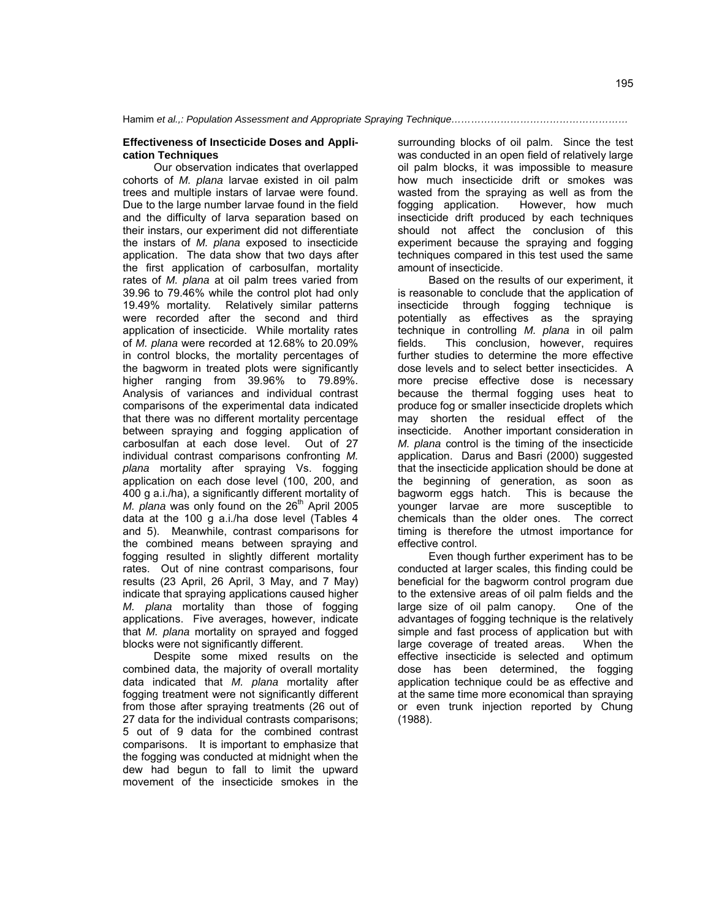#### **Effectiveness of Insecticide Doses and Application Techniques**

Our observation indicates that overlapped cohorts of *M. plana* larvae existed in oil palm trees and multiple instars of larvae were found. Due to the large number larvae found in the field and the difficulty of larva separation based on their instars, our experiment did not differentiate the instars of *M. plana* exposed to insecticide application. The data show that two days after the first application of carbosulfan, mortality rates of *M. plana* at oil palm trees varied from 39.96 to 79.46% while the control plot had only 19.49% mortality*.* Relatively similar patterns were recorded after the second and third application of insecticide. While mortality rates of *M. plana* were recorded at 12.68% to 20.09% in control blocks, the mortality percentages of the bagworm in treated plots were significantly higher ranging from 39.96% to 79.89%. Analysis of variances and individual contrast comparisons of the experimental data indicated that there was no different mortality percentage between spraying and fogging application of carbosulfan at each dose level. Out of 27 individual contrast comparisons confronting *M. plana* mortality after spraying Vs. fogging application on each dose level (100, 200, and 400 g a.i./ha), a significantly different mortality of *M. plana* was only found on the 26<sup>th</sup> April 2005 data at the 100 g a.i./ha dose level (Tables 4 and 5). Meanwhile, contrast comparisons for the combined means between spraying and fogging resulted in slightly different mortality rates. Out of nine contrast comparisons, four results (23 April, 26 April, 3 May, and 7 May) indicate that spraying applications caused higher *M. plana* mortality than those of fogging applications. Five averages, however, indicate that *M. plana* mortality on sprayed and fogged blocks were not significantly different.

Despite some mixed results on the combined data, the majority of overall mortality data indicated that *M. plana* mortality after fogging treatment were not significantly different from those after spraying treatments (26 out of 27 data for the individual contrasts comparisons; 5 out of 9 data for the combined contrast comparisons. It is important to emphasize that the fogging was conducted at midnight when the dew had begun to fall to limit the upward movement of the insecticide smokes in the

surrounding blocks of oil palm. Since the test was conducted in an open field of relatively large oil palm blocks, it was impossible to measure how much insecticide drift or smokes was wasted from the spraying as well as from the fogging application. However, how much insecticide drift produced by each techniques should not affect the conclusion of this experiment because the spraying and fogging techniques compared in this test used the same amount of insecticide.

Based on the results of our experiment, it is reasonable to conclude that the application of insecticide through fogging technique is potentially as effectives as the spraying technique in controlling *M. plana* in oil palm fields. This conclusion, however, requires further studies to determine the more effective dose levels and to select better insecticides. A more precise effective dose is necessary because the thermal fogging uses heat to produce fog or smaller insecticide droplets which may shorten the residual effect of the insecticide. Another important consideration in *M. plana* control is the timing of the insecticide application. Darus and Basri (2000) suggested that the insecticide application should be done at the beginning of generation, as soon as bagworm eggs hatch. This is because the younger larvae are more susceptible to chemicals than the older ones. The correct timing is therefore the utmost importance for effective control.

Even though further experiment has to be conducted at larger scales, this finding could be beneficial for the bagworm control program due to the extensive areas of oil palm fields and the large size of oil palm canopy. One of the advantages of fogging technique is the relatively simple and fast process of application but with large coverage of treated areas. When the effective insecticide is selected and optimum dose has been determined, the fogging application technique could be as effective and at the same time more economical than spraying or even trunk injection reported by Chung (1988).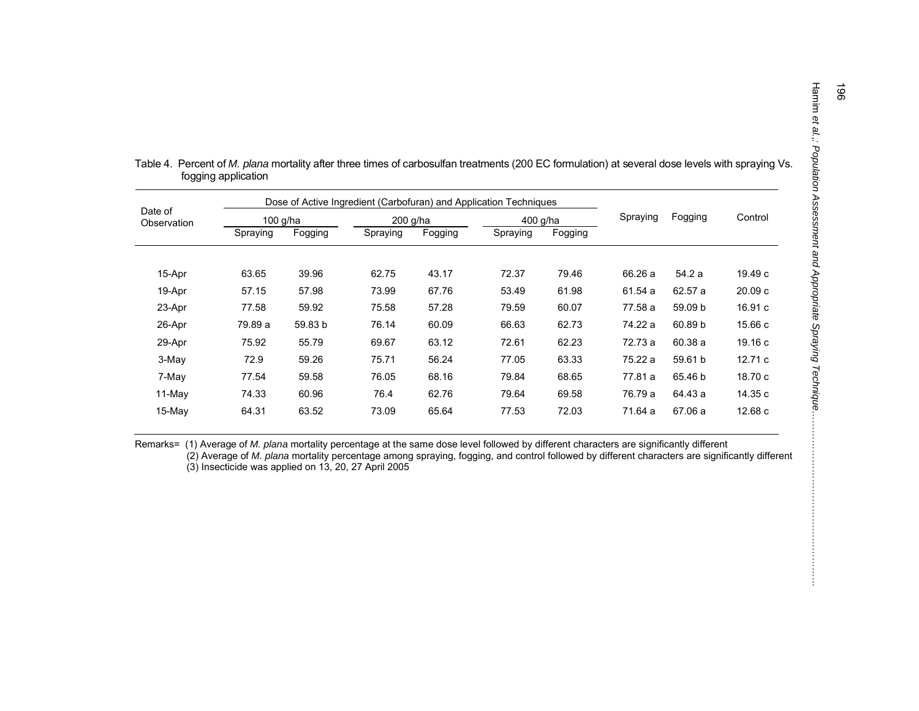|                        | Dose of Active Ingredient (Carbofuran) and Application Techniques |         |          |         |          |         |          |         |         |
|------------------------|-------------------------------------------------------------------|---------|----------|---------|----------|---------|----------|---------|---------|
| Date of<br>Observation | $100$ g/ha                                                        |         | 200 g/ha |         | 400 g/ha |         | Spraying | Fogging | Control |
|                        | Spraying                                                          | Fogging | Spraying | Fogging | Spraying | Fogging |          |         |         |
|                        |                                                                   |         |          |         |          |         |          |         |         |
| 15-Apr                 | 63.65                                                             | 39.96   | 62.75    | 43.17   | 72.37    | 79.46   | 66.26 a  | 54.2 a  | 19.49 c |
| 19-Apr                 | 57.15                                                             | 57.98   | 73.99    | 67.76   | 53.49    | 61.98   | 61.54 a  | 62.57 a | 20.09c  |
| 23-Apr                 | 77.58                                                             | 59.92   | 75.58    | 57.28   | 79.59    | 60.07   | 77.58 a  | 59.09 b | 16.91c  |
| 26-Apr                 | 79.89 a                                                           | 59.83 b | 76.14    | 60.09   | 66.63    | 62.73   | 74.22 a  | 60.89 b | 15.66 c |
| 29-Apr                 | 75.92                                                             | 55.79   | 69.67    | 63.12   | 72.61    | 62.23   | 72.73 a  | 60.38 a | 19.16 c |
| 3-May                  | 72.9                                                              | 59.26   | 75.71    | 56.24   | 77.05    | 63.33   | 75.22 a  | 59.61 b | 12.71c  |
| 7-May                  | 77.54                                                             | 59.58   | 76.05    | 68.16   | 79.84    | 68.65   | 77.81 a  | 65.46 b | 18.70 c |
| 11-May                 | 74.33                                                             | 60.96   | 76.4     | 62.76   | 79.64    | 69.58   | 76.79 a  | 64.43 a | 14.35 c |
| $15$ -May              | 64.31                                                             | 63.52   | 73.09    | 65.64   | 77.53    | 72.03   | 71.64 a  | 67.06 a | 12.68 c |

| Table 4. Percent of M. plana mortality after three times of carbosulfan treatments (200 EC formulation) at several dose levels with spraying Vs. |
|--------------------------------------------------------------------------------------------------------------------------------------------------|
| fogging application                                                                                                                              |

Remarks= (1) Average of *M. plana* mortality percentage at the same dose level followed by different characters are significantly different

 (2) Average of *M. plana* mortality percentage among spraying, fogging, and control followed by different characters are significantly different (3) Insecticide was applied on 13, 20, 27 April 2005

*… … … … … … … … … … … … … … … …*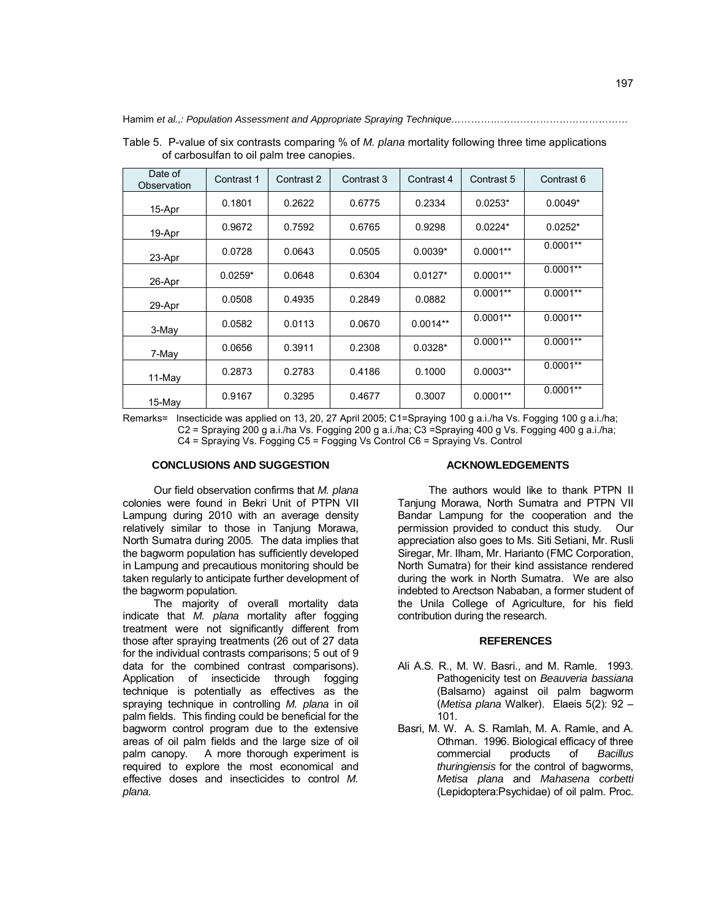| Date of<br>Observation | Contrast 1 | Contrast 2 | Contrast 3 | Contrast 4 | Contrast 5 | Contrast 6 |
|------------------------|------------|------------|------------|------------|------------|------------|
| 15-Apr                 | 0.1801     | 0.2622     | 0.6775     | 0.2334     | $0.0253*$  | $0.0049*$  |
| 19-Apr                 | 0.9672     | 0.7592     | 0.6765     | 0.9298     | $0.0224*$  | $0.0252*$  |
| 23-Apr                 | 0.0728     | 0.0643     | 0.0505     | $0.0039*$  | $0.0001**$ | $0.0001**$ |
| 26-Apr                 | $0.0259*$  | 0.0648     | 0.6304     | $0.0127*$  | $0.0001**$ | $0.0001**$ |
| 29-Apr                 | 0.0508     | 0.4935     | 0.2849     | 0.0882     | $0.0001**$ | $0.0001**$ |
| 3-May                  | 0.0582     | 0.0113     | 0.0670     | $0.0014**$ | $0.0001**$ | $0.0001**$ |
| 7-May                  | 0.0656     | 0.3911     | 0.2308     | $0.0328*$  | $0.0001**$ | $0.0001**$ |
| $11-Mav$               | 0.2873     | 0.2783     | 0.4186     | 0.1000     | $0.0003**$ | $0.0001**$ |
| 15-May                 | 0.9167     | 0.3295     | 0.4677     | 0.3007     | $0.0001**$ | $0.0001**$ |

Table 5. P-value of six contrasts comparing % of *M. plana* mortality following three time applications of carbosulfan to oil palm tree canopies.

Remarks= Insecticide was applied on 13, 20, 27 April 2005; C1=Spraying 100 g a.i./ha Vs. Fogging 100 g a.i./ha; C2 = Spraying 200 g a.i./ha Vs. Fogging 200 g a.i./ha; C3 =Spraying 400 g Vs. Fogging 400 g a.i./ha; C4 = Spraying Vs. Fogging C5 = Fogging Vs Control C6 = Spraying Vs. Control

## **CONCLUSIONS AND SUGGESTION**

Our field observation confirms that *M. plana*  colonies were found in Bekri Unit of PTPN VII Lampung during 2010 with an average density relatively similar to those in Tanjung Morawa, North Sumatra during 2005. The data implies that the bagworm population has sufficiently developed in Lampung and precautious monitoring should be taken regularly to anticipate further development of the bagworm population.

The majority of overall mortality data indicate that *M. plana* mortality after fogging treatment were not significantly different from those after spraying treatments (26 out of 27 data for the individual contrasts comparisons; 5 out of 9 data for the combined contrast comparisons). Application of insecticide through fogging technique is potentially as effectives as the spraying technique in controlling *M. plana* in oil palm fields. This finding could be beneficial for the bagworm control program due to the extensive areas of oil palm fields and the large size of oil palm canopy. A more thorough experiment is required to explore the most economical and effective doses and insecticides to control *M. plana.* 

### **ACKNOWLEDGEMENTS**

The authors would like to thank PTPN II Tanjung Morawa, North Sumatra and PTPN VII Bandar Lampung for the cooperation and the permission provided to conduct this study. Our appreciation also goes to Ms. Siti Setiani, Mr. Rusli Siregar, Mr. Ilham, Mr. Harianto (FMC Corporation, North Sumatra) for their kind assistance rendered during the work in North Sumatra. We are also indebted to Arectson Nababan, a former student of the Unila College of Agriculture, for his field contribution during the research.

#### **REFERENCES**

- Ali A.S. R., M. W. Basri., and M. Ramle. 1993. Pathogenicity test on *Beauveria bassiana*  (Balsamo) against oil palm bagworm (*Metisa plana* Walker). Elaeis 5(2): 92 – 101.
- Basri, M. W. A. S. Ramlah, M. A. Ramle, and A. Othman. 1996. Biological efficacy of three commercial products of *Bacillus thuringiensis* for the control of bagworms, *Metisa plana* and *Mahasena corbetti* (Lepidoptera:Psychidae) of oil palm. Proc.